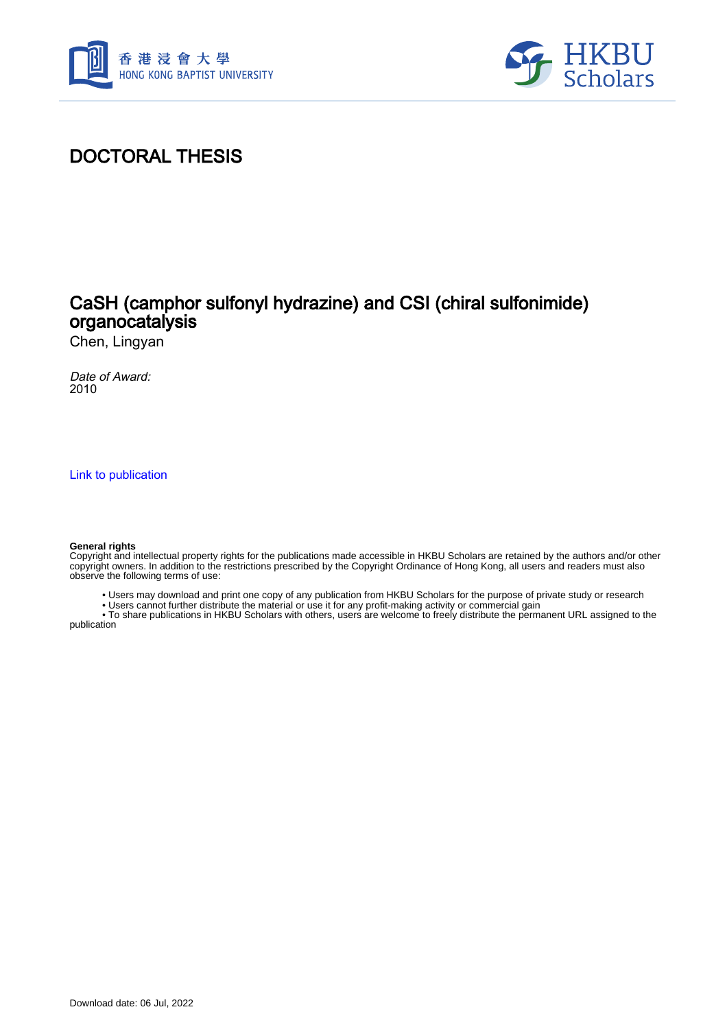



## DOCTORAL THESIS

### CaSH (camphor sulfonyl hydrazine) and CSI (chiral sulfonimide) organocatalysis

Chen, Lingyan

Date of Award: 2010

[Link to publication](https://scholars.hkbu.edu.hk/en/studentTheses/24147dab-a2bc-414c-9a5d-2a91b43c8f06)

#### **General rights**

Copyright and intellectual property rights for the publications made accessible in HKBU Scholars are retained by the authors and/or other copyright owners. In addition to the restrictions prescribed by the Copyright Ordinance of Hong Kong, all users and readers must also observe the following terms of use:

• Users may download and print one copy of any publication from HKBU Scholars for the purpose of private study or research

• Users cannot further distribute the material or use it for any profit-making activity or commercial gain

 • To share publications in HKBU Scholars with others, users are welcome to freely distribute the permanent URL assigned to the publication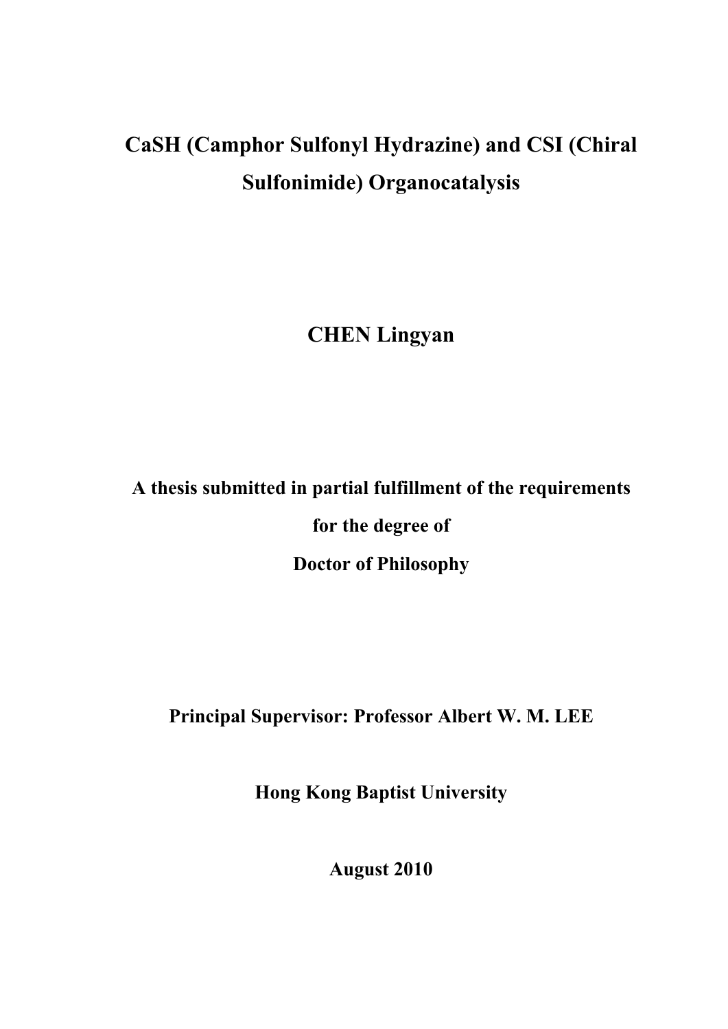## **CaSH (Camphor Sulfonyl Hydrazine) and CSI (Chiral Sulfonimide) Organocatalysis**

**CHEN Lingyan** 

# **A thesis submitted in partial fulfillment of the requirements for the degree of Doctor of Philosophy**

**Principal Supervisor: Professor Albert W. M. LEE** 

**Hong Kong Baptist University** 

**August 2010**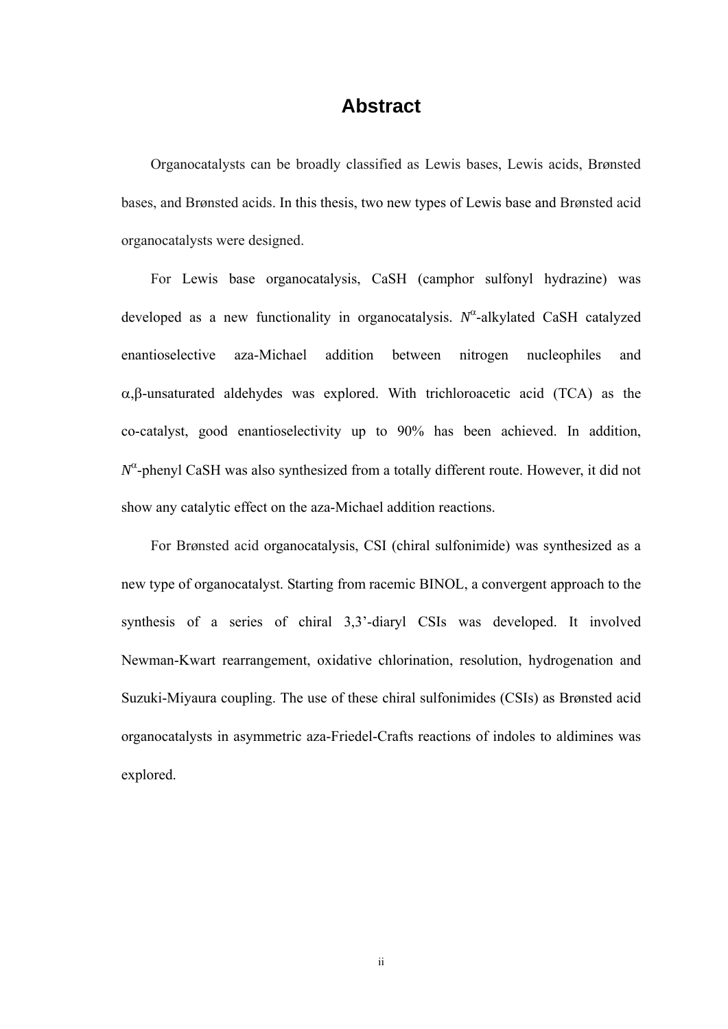#### **Abstract**

Organocatalysts can be broadly classified as Lewis bases, Lewis acids, Brønsted bases, and Brønsted acids. In this thesis, two new types of Lewis base and Brønsted acid organocatalysts were designed.

For Lewis base organocatalysis, CaSH (camphor sulfonyl hydrazine) was developed as a new functionality in organocatalysis. *N*<sup>α</sup> -alkylated CaSH catalyzed enantioselective aza-Michael addition between nitrogen nucleophiles and α,β-unsaturated aldehydes was explored. With trichloroacetic acid (TCA) as the co-catalyst, good enantioselectivity up to 90% has been achieved. In addition, *N*α -phenyl CaSH was also synthesized from a totally different route. However, it did not show any catalytic effect on the aza-Michael addition reactions.

For Brønsted acid organocatalysis, CSI (chiral sulfonimide) was synthesized as a new type of organocatalyst. Starting from racemic BINOL, a convergent approach to the synthesis of a series of chiral 3,3'-diaryl CSIs was developed. It involved Newman-Kwart rearrangement, oxidative chlorination, resolution, hydrogenation and Suzuki-Miyaura coupling. The use of these chiral sulfonimides (CSIs) as Brønsted acid organocatalysts in asymmetric aza-Friedel-Crafts reactions of indoles to aldimines was explored.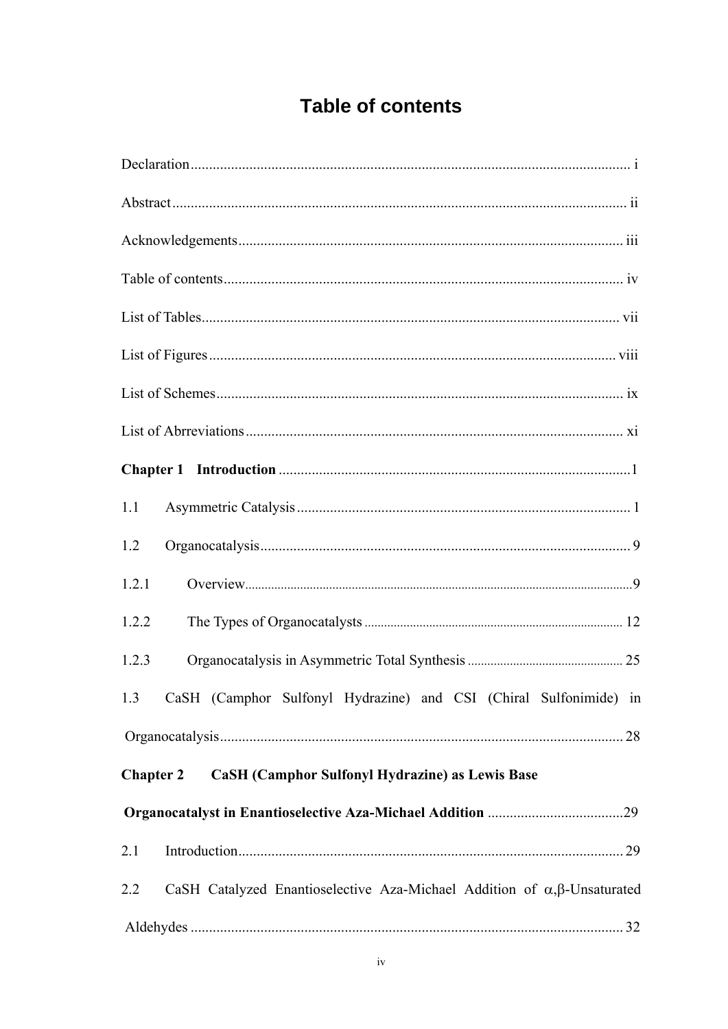## **Table of contents**

| 1.1                                                                                         |
|---------------------------------------------------------------------------------------------|
| 1.2                                                                                         |
| 1.2.1                                                                                       |
| 1.2.2                                                                                       |
| 1.2.3                                                                                       |
| CaSH (Camphor Sulfonyl Hydrazine) and CSI (Chiral Sulfonimide) in<br>1.3                    |
|                                                                                             |
| <b>CaSH</b> (Camphor Sulfonyl Hydrazine) as Lewis Base<br><b>Chapter 2</b>                  |
|                                                                                             |
| 2.1                                                                                         |
| CaSH Catalyzed Enantioselective Aza-Michael Addition of $\alpha, \beta$ -Unsaturated<br>2.2 |
|                                                                                             |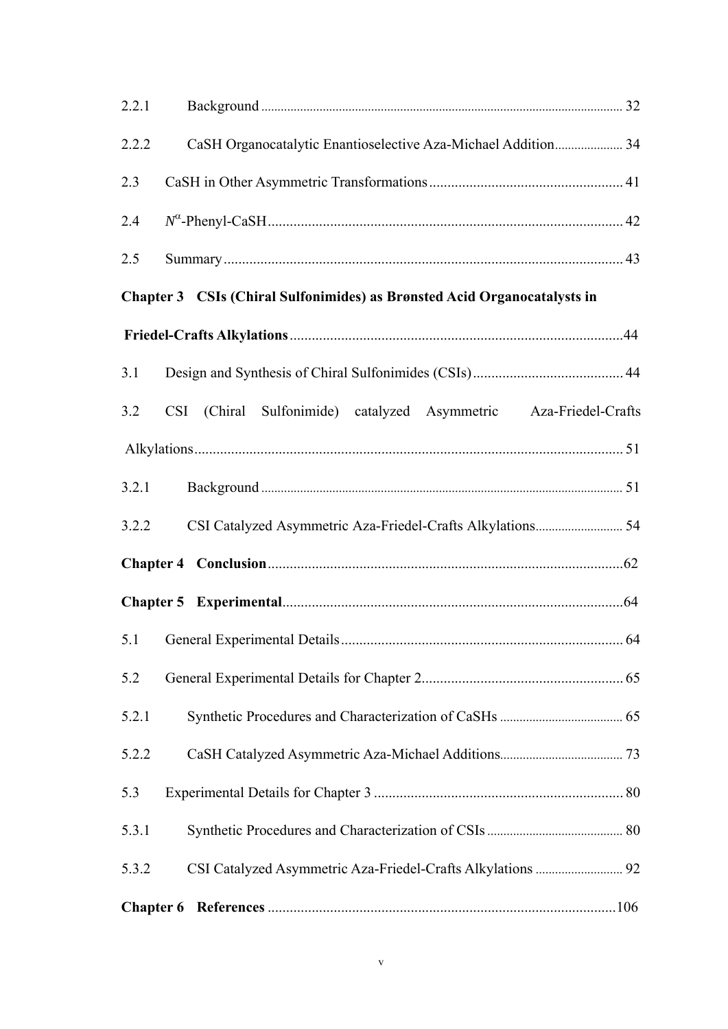| 2.2.1                                                                    |                                                                  |  |  |
|--------------------------------------------------------------------------|------------------------------------------------------------------|--|--|
| 2.2.2                                                                    | CaSH Organocatalytic Enantioselective Aza-Michael Addition 34    |  |  |
| 2.3                                                                      |                                                                  |  |  |
| 2.4                                                                      |                                                                  |  |  |
| 2.5                                                                      |                                                                  |  |  |
| Chapter 3 CSIs (Chiral Sulfonimides) as Brønsted Acid Organocatalysts in |                                                                  |  |  |
|                                                                          |                                                                  |  |  |
| 3.1                                                                      |                                                                  |  |  |
| 3.2                                                                      | CSI (Chiral Sulfonimide) catalyzed Asymmetric Aza-Friedel-Crafts |  |  |
|                                                                          |                                                                  |  |  |
| 3.2.1                                                                    |                                                                  |  |  |
| 3.2.2                                                                    |                                                                  |  |  |
|                                                                          |                                                                  |  |  |
|                                                                          |                                                                  |  |  |
|                                                                          |                                                                  |  |  |
| 5.2                                                                      |                                                                  |  |  |
| 5.2.1                                                                    |                                                                  |  |  |
| 5.2.2                                                                    |                                                                  |  |  |
| 5.3                                                                      |                                                                  |  |  |
| 5.3.1                                                                    |                                                                  |  |  |
| 5.3.2                                                                    |                                                                  |  |  |
|                                                                          |                                                                  |  |  |